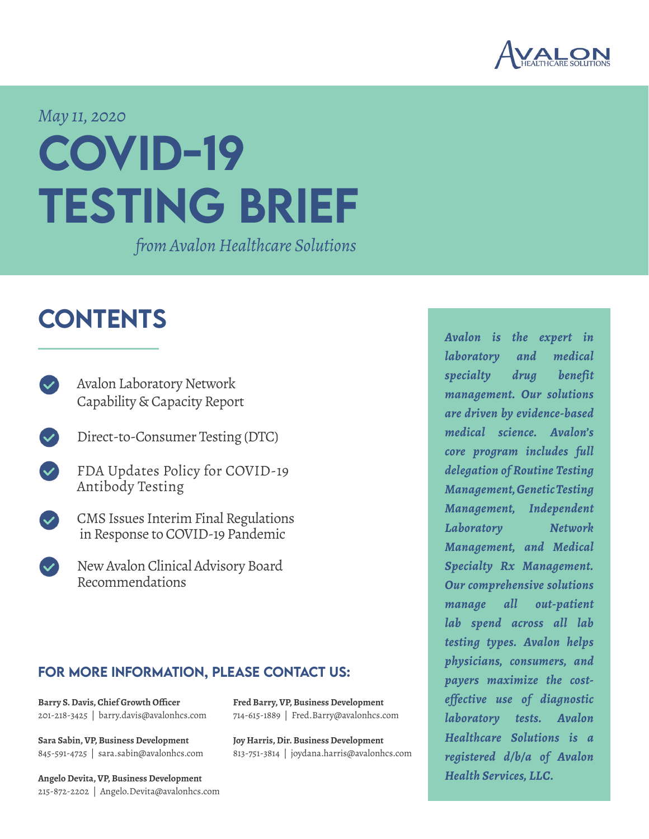

#### *May 11, 2020*

# COVID-19 testing brief

*from Avalon Healthcare Solutions*

### **CONTENTS**

- [Avalon Laboratory Network](#page-1-0) [Capability & Capacity Report](#page-1-0)
- [Direct-to-Consumer Testing \(DTC\)](#page-2-0)
	- [FDA Updates Policy for COVID-19](#page-3-0)  [Antibody Testing](#page-3-0)
- [CMS Issues Interim Final Regulations](#page-4-0)  [in Response to COVID-19 Pandemic](#page-4-0)
- [New Avalon Clinical Advisory Board](#page-6-0)  [Recommendations](#page-6-0)

#### for more information, please contact us:

**[Barry S. Davis, Chief Growth Officer](mailto:barry.davis%40avalonhcs.com%20?subject=)** 201-218-3425 | barry.davis@avalonhcs.com

**[Sara Sabin, VP, Business Development](mailto:sara.sabin%40avalonhcs.com?subject=)** 845-591-4725 | sara.sabin@avalonhcs.com

**[Angelo Devita, VP, Business Development](mailto:Angelo.Devita%40avalonhcs.com?subject=)** 215-872-2202 | Angelo.Devita@avalonhcs.com **[Fred Barry, VP, Business Development](mailto:Fred.Barry%40avalonhcs.com?subject=)** 714-615-1889 | Fred.Barry@avalonhcs.com

**[Joy Harris, Dir. Business Development](mailto:%20joydana.harris%40avalonhcs.com?subject=)** 813-751-3814 | joydana.harris@avalonhcs.com *Avalon is the expert in laboratory and medical specialty drug benefit management. Our solutions are driven by evidence-based medical science. Avalon's core program includes full delegation of Routine Testing Management, Genetic Testing Management, Independent Laboratory Network Management, and Medical Specialty Rx Management. Our comprehensive solutions manage all out-patient lab spend across all lab testing types. Avalon helps physicians, consumers, and payers maximize the costeffective use of diagnostic laboratory tests. Avalon Healthcare Solutions is a registered d/b/a of Avalon Health Services, LLC.*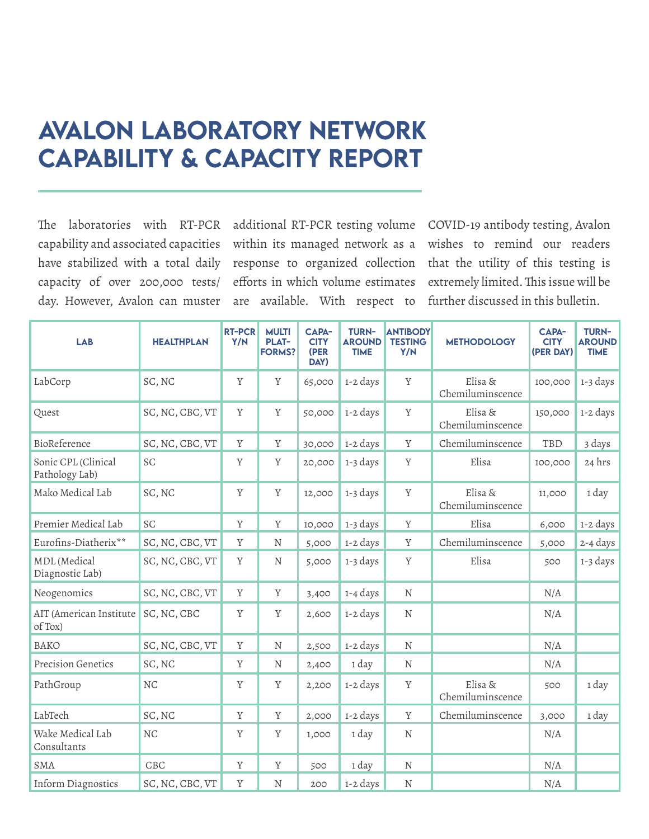## <span id="page-1-0"></span>Avalon Laboratory Network Capability & Capacity Report

The laboratories with RT-PCR capability and associated capacities have stabilized with a total daily capacity of over 200,000 tests/ day. However, Avalon can muster

additional RT-PCR testing volume within its managed network as a response to organized collection efforts in which volume estimates are available. With respect to further discussed in this bulletin.

COVID-19 antibody testing, Avalon wishes to remind our readers that the utility of this testing is extremely limited. This issue will be

| <b>LAB</b>                             | <b>HEALTHPLAN</b> | <b>RT-PCR</b><br>Y/N | <b>MULTI</b><br><b>PLAT-</b><br><b>FORMS?</b> | CAPA-<br><b>CITY</b><br>(PER<br>DAY) | <b>TURN-</b><br><b>AROUND</b><br><b>TIME</b> | <b>ANTIBODY</b><br><b>TESTING</b><br>Y/N | <b>METHODOLOGY</b>          | <b>CAPA-</b><br><b>CITY</b><br>(PER DAY) | <b>TURN-</b><br><b>AROUND</b><br><b>TIME</b> |
|----------------------------------------|-------------------|----------------------|-----------------------------------------------|--------------------------------------|----------------------------------------------|------------------------------------------|-----------------------------|------------------------------------------|----------------------------------------------|
| LabCorp                                | SC, NC            | Y                    | Y                                             | 65,000                               | 1-2 days                                     | $\mathbf Y$                              | Elisa &<br>Chemiluminscence | 100,000                                  | 1-3 days                                     |
| Quest                                  | SC, NC, CBC, VT   | Y                    | Y                                             | 50,000                               | 1-2 days                                     | Y                                        | Elisa &<br>Chemiluminscence | 150,000                                  | 1-2 days                                     |
| BioReference                           | SC, NC, CBC, VT   | Y                    | Y                                             | 30,000                               | 1-2 days                                     | $\mathbf Y$                              | Chemiluminscence            | TBD                                      | 3 days                                       |
| Sonic CPL (Clinical<br>Pathology Lab)  | SC                | Y                    | Y                                             | 20,000                               | 1-3 days                                     | Y                                        | Elisa                       | 100,000                                  | 24 hrs                                       |
| Mako Medical Lab                       | SC, NC            | Y                    | Y                                             | 12,000                               | 1-3 days                                     | $\mathbf Y$                              | Elisa &<br>Chemiluminscence | 11,000                                   | 1 day                                        |
| Premier Medical Lab                    | SC                | Y                    | Y                                             | 10,000                               | 1-3 days                                     | Y                                        | Elisa                       | 6,000                                    | 1-2 days                                     |
| Eurofins-Diatherix**                   | SC, NC, CBC, VT   | Y                    | N                                             | 5,000                                | 1-2 days                                     | Y                                        | Chemiluminscence            | 5,000                                    | 2-4 days                                     |
| <b>MDL</b> (Medical<br>Diagnostic Lab) | SC, NC, CBC, VT   | Y                    | N                                             | 5,000                                | 1-3 days                                     | Y                                        | Elisa                       | 500                                      | 1-3 days                                     |
| Neogenomics                            | SC, NC, CBC, VT   | Y                    | Y                                             | 3,400                                | 1-4 days                                     | $\mathbf N$                              |                             | N/A                                      |                                              |
| AIT (American Institute<br>of Tox)     | SC, NC, CBC       | Y                    | Y                                             | 2,600                                | 1-2 days                                     | N                                        |                             | N/A                                      |                                              |
| <b>BAKO</b>                            | SC, NC, CBC, VT   | Y                    | N                                             | 2,500                                | 1-2 days                                     | N                                        |                             | N/A                                      |                                              |
| Precision Genetics                     | SC, NC            | Y                    | N                                             | 2,400                                | 1 day                                        | N                                        |                             | N/A                                      |                                              |
| PathGroup                              | $\rm NC$          | Y                    | $\mathbf Y$                                   | 2,200                                | 1-2 days                                     | $\mathbf Y$                              | Elisa &<br>Chemiluminscence | 500                                      | 1 day                                        |
| LabTech                                | SC, NC            | Y                    | Y                                             | 2,000                                | 1-2 days                                     | $\mathbf Y$                              | Chemiluminscence            | 3,000                                    | 1 day                                        |
| Wake Medical Lab<br>Consultants        | $\rm{NC}$         | Y                    | Y                                             | 1,000                                | 1 day                                        | ${\rm N}$                                |                             | N/A                                      |                                              |
| <b>SMA</b>                             | CBC               | Y                    | Y                                             | 500                                  | 1 day                                        | ${\rm N}$                                |                             | N/A                                      |                                              |
| Inform Diagnostics                     | SC, NC, CBC, VT   | $\mathbf Y$          | N                                             | 200                                  | 1-2 days                                     | ${\rm N}$                                |                             | N/A                                      |                                              |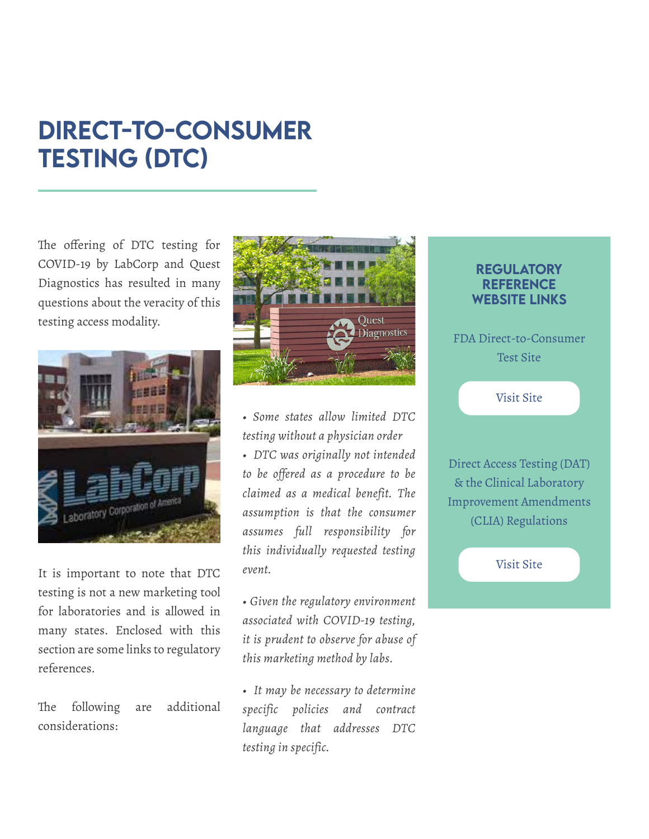# <span id="page-2-0"></span>DIRECT-TO-CONSUMER TESTING (DTC)

The offering of DTC testing for COVID-19 by LabCorp and Quest Diagnostics has resulted in many questions about the veracity of this testing access modality.



It is important to note that DTC testing is not a new marketing tool for laboratories and is allowed in many states. Enclosed with this section are some links to regulatory references.

The following are additional considerations:



*• Some states allow limited DTC testing without a physician order*

*• DTC was originally not intended to be offered as a procedure to be claimed as a medical benefit. The assumption is that the consumer assumes full responsibility for this individually requested testing event.*

*• Given the regulatory environment associated with COVID-19 testing, it is prudent to observe for abuse of this marketing method by labs.*

*• It may be necessary to determine specific policies and contract language that addresses DTC testing in specific.*

#### **REGULATORY REFERENCE** website links

F[DA Direct-to-Consumer](https://www.fda.gov/medical-devices/vitro-diagnostics/direct-consumer-tests)  [Test Site](https://www.fda.gov/medical-devices/vitro-diagnostics/direct-consumer-tests)

[Visit Site](https://www.fda.gov/medical-devices/vitro-diagnostics/direct-consumer-tests)

[Direct Access Testing \(DAT\)](https://www.cms.gov/Regulations-and-Guidance/Legislation/CLIA/Downloads/directaccesstesting.pdf)  [& the Clinical Laboratory](https://www.cms.gov/Regulations-and-Guidance/Legislation/CLIA/Downloads/directaccesstesting.pdf)  [Improvement Amendments](https://www.cms.gov/Regulations-and-Guidance/Legislation/CLIA/Downloads/directaccesstesting.pdf)  [\(CLIA\) Regulations](https://www.cms.gov/Regulations-and-Guidance/Legislation/CLIA/Downloads/directaccesstesting.pdf)

[Visit Site](https://www.cms.gov/Regulations-and-Guidance/Legislation/CLIA/Downloads/directaccesstesting.pdf)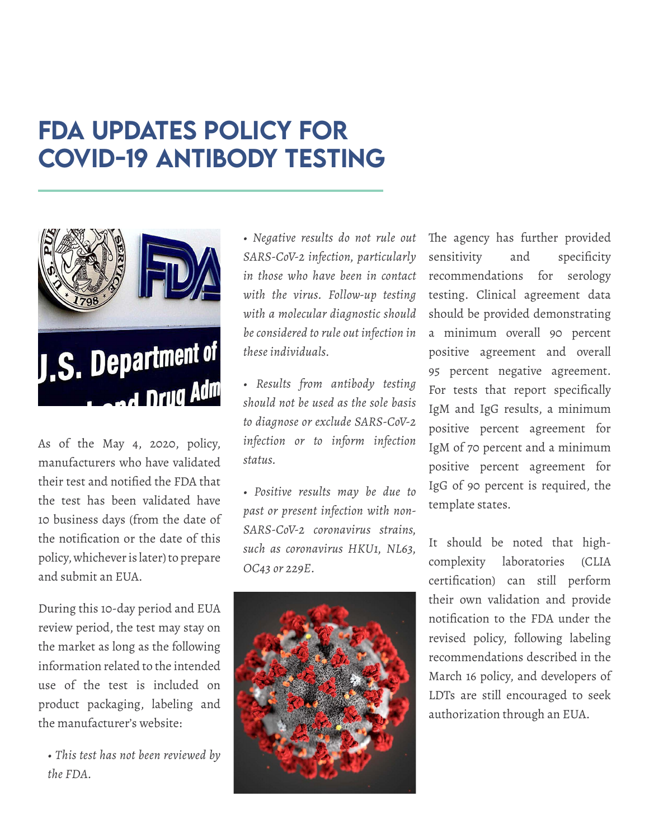# <span id="page-3-0"></span>FDA Updates Policy for COVID-19 Antibody Testing



As of the May 4, 2020, policy, manufacturers who have validated their test and notified the FDA that the test has been validated have 10 business days (from the date of the notification or the date of this policy, whichever is later) to prepare and submit an EUA.

During this 10-day period and EUA review period, the test may stay on the market as long as the following information related to the intended use of the test is included on product packaging, labeling and the manufacturer's website:

*• This test has not been reviewed by the FDA.*

*• Negative results do not rule out SARS-CoV-2 infection, particularly in those who have been in contact with the virus. Follow-up testing with a molecular diagnostic should be considered to rule out infection in these individuals.*

*• Results from antibody testing should not be used as the sole basis to diagnose or exclude SARS-CoV-2 infection or to inform infection status.*

*• Positive results may be due to past or present infection with non-SARS-CoV-2 coronavirus strains, such as coronavirus HKU1, NL63, OC43 or 229E.*



The agency has further provided sensitivity and specificity recommendations for serology testing. Clinical agreement data should be provided demonstrating a minimum overall 90 percent positive agreement and overall 95 percent negative agreement. For tests that report specifically IgM and IgG results, a minimum positive percent agreement for IgM of 70 percent and a minimum positive percent agreement for IgG of 90 percent is required, the template states.

It should be noted that highcomplexity laboratories (CLIA certification) can still perform their own validation and provide notification to the FDA under the revised policy, following labeling recommendations described in the March 16 policy, and developers of LDTs are still encouraged to seek authorization through an EUA.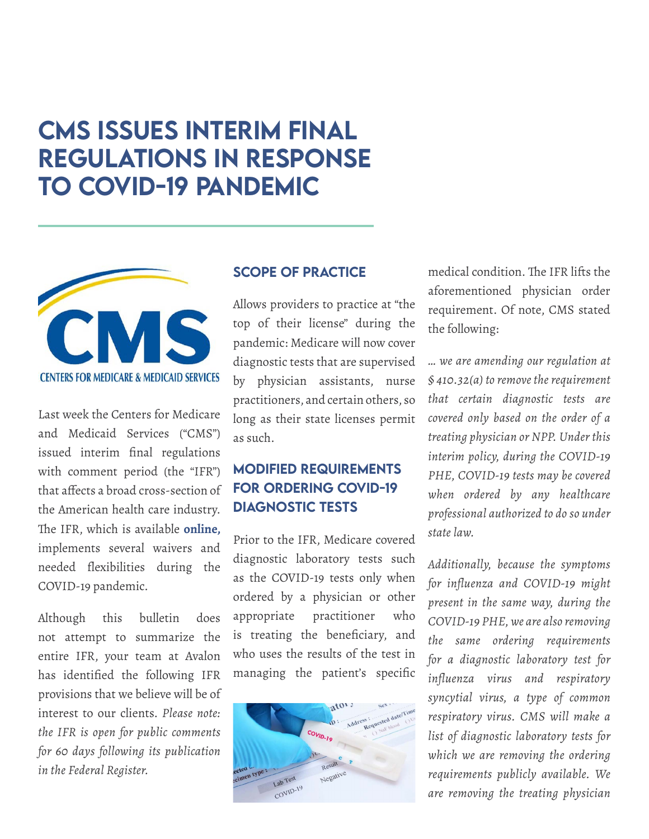### <span id="page-4-0"></span>CMS Issues Interim Final Regulations in Response to COVID-19 Pandemic



Last week the Centers for Medicare and Medicaid Services ("CMS") issued interim final regulations with comment period (the "IFR") that affects a broad cross-section of the American health care industry. The IFR, which is available **[online](https://www.cms.gov/files/document/covid-medicare-and-medicaid-ifc2.pdf),**  implements several waivers and needed flexibilities during the COVID-19 pandemic.

Although this bulletin does not attempt to summarize the entire IFR, your team at Avalon has identified the following IFR provisions that we believe will be of interest to our clients. *Please note: the IFR is open for public comments for 60 days following its publication in the Federal Register.*

#### SCOPE OF PRACTICE

Allows providers to practice at "the top of their license" during the pandemic: Medicare will now cover diagnostic tests that are supervised by physician assistants, nurse practitioners, and certain others, so long as their state licenses permit as such.

### MODIFIED REQUIREMENTS FOR ORDERING COVID-19 DIAGNOSTIC TESTS

Prior to the IFR, Medicare covered diagnostic laboratory tests such as the COVID-19 tests only when ordered by a physician or other appropriate practitioner who is treating the beneficiary, and who uses the results of the test in managing the patient's specific



medical condition. The IFR lifts the aforementioned physician order requirement. Of note, CMS stated the following:

*… we are amending our regulation at § 410.32(a) to remove the requirement that certain diagnostic tests are covered only based on the order of a treating physician or NPP. Under this interim policy, during the COVID-19 PHE, COVID-19 tests may be covered when ordered by any healthcare professional authorized to do so under state law.* 

*Additionally, because the symptoms for influenza and COVID-19 might present in the same way, during the COVID-19 PHE, we are also removing the same ordering requirements for a diagnostic laboratory test for influenza virus and respiratory syncytial virus, a type of common respiratory virus. CMS will make a list of diagnostic laboratory tests for which we are removing the ordering requirements publicly available. We are removing the treating physician*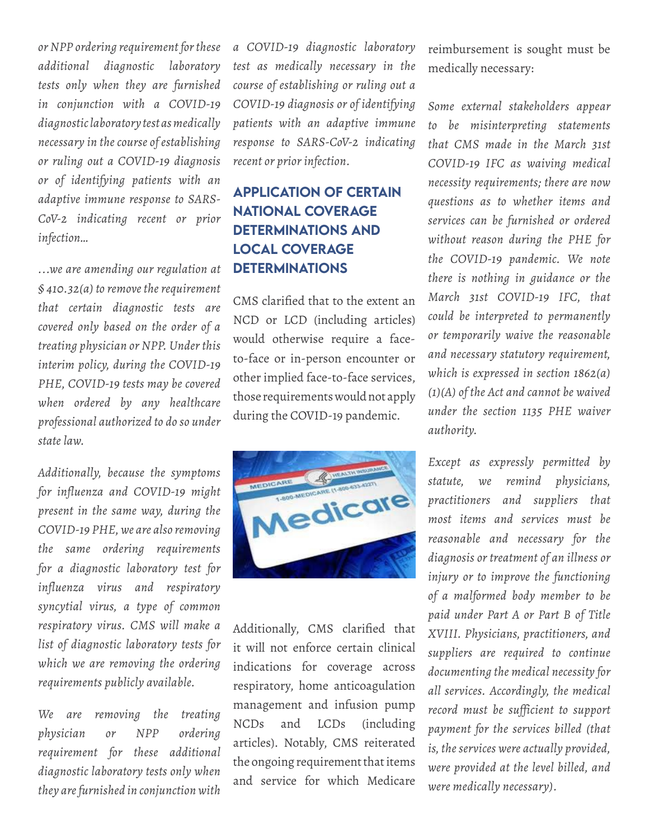*or NPP ordering requirement for these additional diagnostic laboratory tests only when they are furnished in conjunction with a COVID-19 diagnostic laboratory test as medically necessary in the course of establishing or ruling out a COVID-19 diagnosis or of identifying patients with an adaptive immune response to SARS-CoV-2 indicating recent or prior infection…* 

*...we are amending our regulation at § 410.32(a) to remove the requirement that certain diagnostic tests are covered only based on the order of a treating physician or NPP. Under this interim policy, during the COVID-19 PHE, COVID-19 tests may be covered when ordered by any healthcare professional authorized to do so under state law.*

*Additionally, because the symptoms for influenza and COVID-19 might present in the same way, during the COVID-19 PHE, we are also removing the same ordering requirements for a diagnostic laboratory test for influenza virus and respiratory syncytial virus, a type of common respiratory virus. CMS will make a list of diagnostic laboratory tests for which we are removing the ordering requirements publicly available.* 

*We are removing the treating physician or NPP ordering requirement for these additional diagnostic laboratory tests only when they are furnished in conjunction with* 

*a COVID-19 diagnostic laboratory test as medically necessary in the course of establishing or ruling out a COVID-19 diagnosis or of identifying patients with an adaptive immune response to SARS-CoV-2 indicating recent or prior infection.* 

### APPLICATION OF CERTAIN NATIONAL COVERAGE DETERMINATIONS AND LOCAL COVERAGE DETERMINATIONS

CMS clarified that to the extent an NCD or LCD (including articles) would otherwise require a faceto-face or in-person encounter or other implied face-to-face services, those requirements would not apply during the COVID-19 pandemic.



Additionally, CMS clarified that it will not enforce certain clinical indications for coverage across respiratory, home anticoagulation management and infusion pump NCDs and LCDs (including articles). Notably, CMS reiterated the ongoing requirement that items and service for which Medicare

reimbursement is sought must be medically necessary:

*Some external stakeholders appear to be misinterpreting statements that CMS made in the March 31st COVID-19 IFC as waiving medical necessity requirements; there are now questions as to whether items and services can be furnished or ordered without reason during the PHE for the COVID-19 pandemic. We note there is nothing in guidance or the March 31st COVID-19 IFC, that could be interpreted to permanently or temporarily waive the reasonable and necessary statutory requirement, which is expressed in section 1862(a) (1)(A) of the Act and cannot be waived under the section 1135 PHE waiver authority.* 

*Except as expressly permitted by statute, we remind physicians, practitioners and suppliers that most items and services must be reasonable and necessary for the diagnosis or treatment of an illness or injury or to improve the functioning of a malformed body member to be paid under Part A or Part B of Title XVIII. Physicians, practitioners, and suppliers are required to continue documenting the medical necessity for all services. Accordingly, the medical record must be sufficient to support payment for the services billed (that is, the services were actually provided, were provided at the level billed, and were medically necessary).*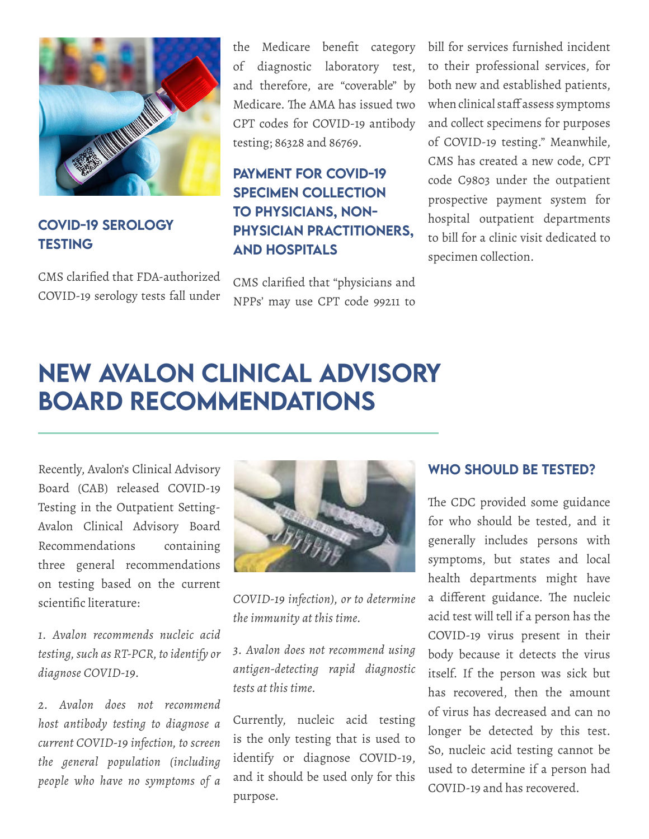

### COVID-19 SEROLOGY **TESTING**

CMS clarified that FDA-authorized COVID-19 serology tests fall under the Medicare benefit category of diagnostic laboratory test, and therefore, are "coverable" by Medicare. The AMA has issued two CPT codes for COVID-19 antibody testing; 86328 and 86769.

### PAYMENT FOR COVID-19 SPECIMEN COLLECTION TO PHYSICIANS, NON-PHYSICIAN PRACTITIONERS, AND HOSPITALS

CMS clarified that "physicians and NPPs' may use CPT code 99211 to

bill for services furnished incident to their professional services, for both new and established patients, when clinical staff assess symptoms and collect specimens for purposes of COVID-19 testing." Meanwhile, CMS has created a new code, CPT code C9803 under the outpatient prospective payment system for hospital outpatient departments to bill for a clinic visit dedicated to specimen collection.

# <span id="page-6-0"></span>New Avalon Clinical Advisory Board Recommendations

Recently, Avalon's Clinical Advisory Board (CAB) released COVID-19 Testing in the Outpatient Setting-Avalon Clinical Advisory Board Recommendations containing three general recommendations on testing based on the current scientific literature:

*1. Avalon recommends nucleic acid testing, such as RT-PCR, to identify or diagnose COVID-19.*

*2. Avalon does not recommend host antibody testing to diagnose a current COVID-19 infection, to screen the general population (including people who have no symptoms of a* 



*COVID-19 infection), or to determine the immunity at this time.*

*3. Avalon does not recommend using antigen-detecting rapid diagnostic tests at this time.*

Currently, nucleic acid testing is the only testing that is used to identify or diagnose COVID-19, and it should be used only for this purpose.

#### WHO SHOULD BE TESTED?

The CDC provided some guidance for who should be tested, and it generally includes persons with symptoms, but states and local health departments might have a different guidance. The nucleic acid test will tell if a person has the COVID-19 virus present in their body because it detects the virus itself. If the person was sick but has recovered, then the amount of virus has decreased and can no longer be detected by this test. So, nucleic acid testing cannot be used to determine if a person had COVID-19 and has recovered.